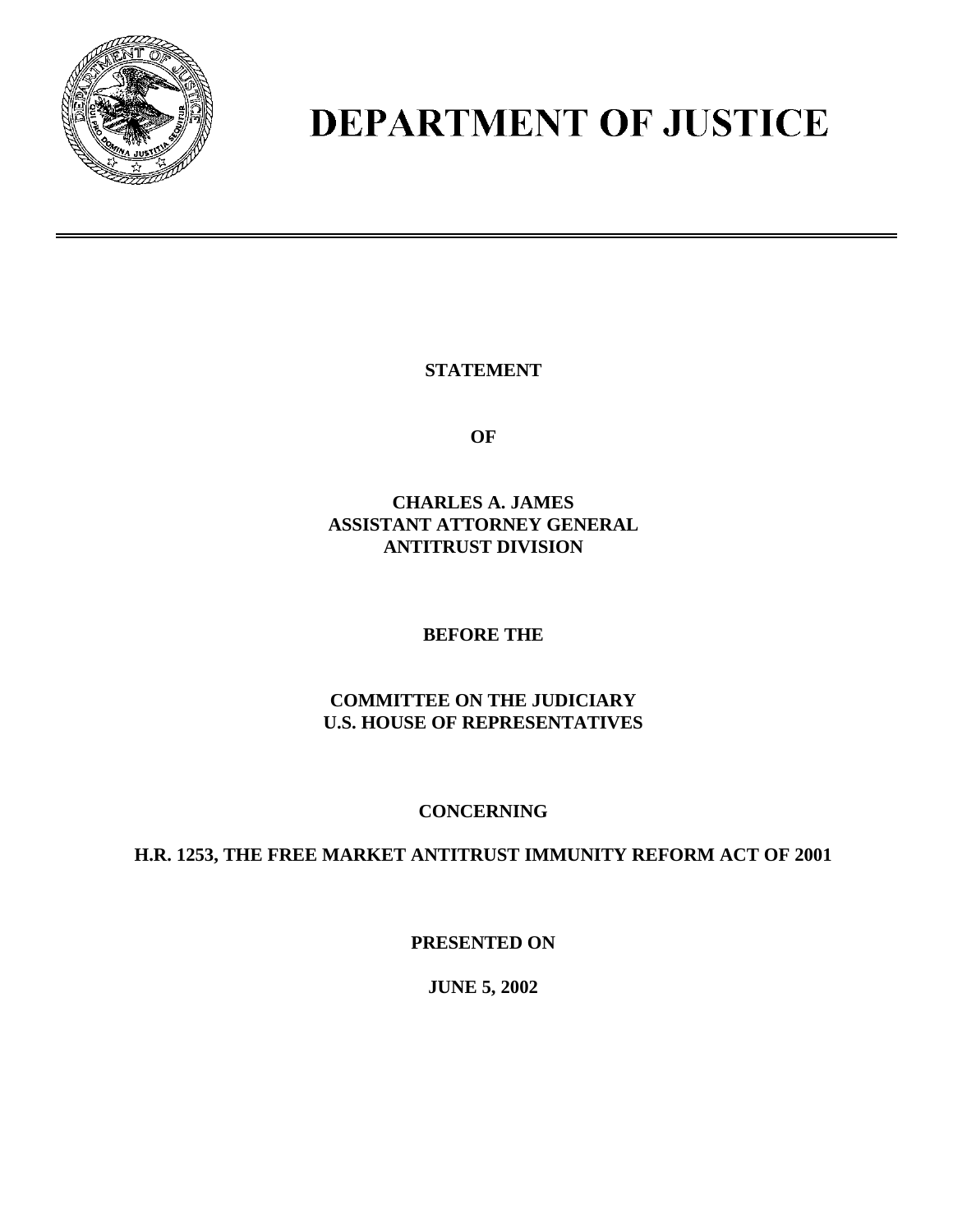

# **DEPARTMENT OF JUSTICE**

**STATEMENT** 

**OF** 

**CHARLES A. JAMES ASSISTANT ATTORNEY GENERAL ANTITRUST DIVISION**

### **BEFORE THE**

**COMMITTEE ON THE JUDICIARY U.S. HOUSE OF REPRESENTATIVES** 

## **CONCERNING**

**H.R. 1253, THE FREE MARKET ANTITRUST IMMUNITY REFORM ACT OF 2001** 

**PRESENTED ON**

**JUNE 5, 2002**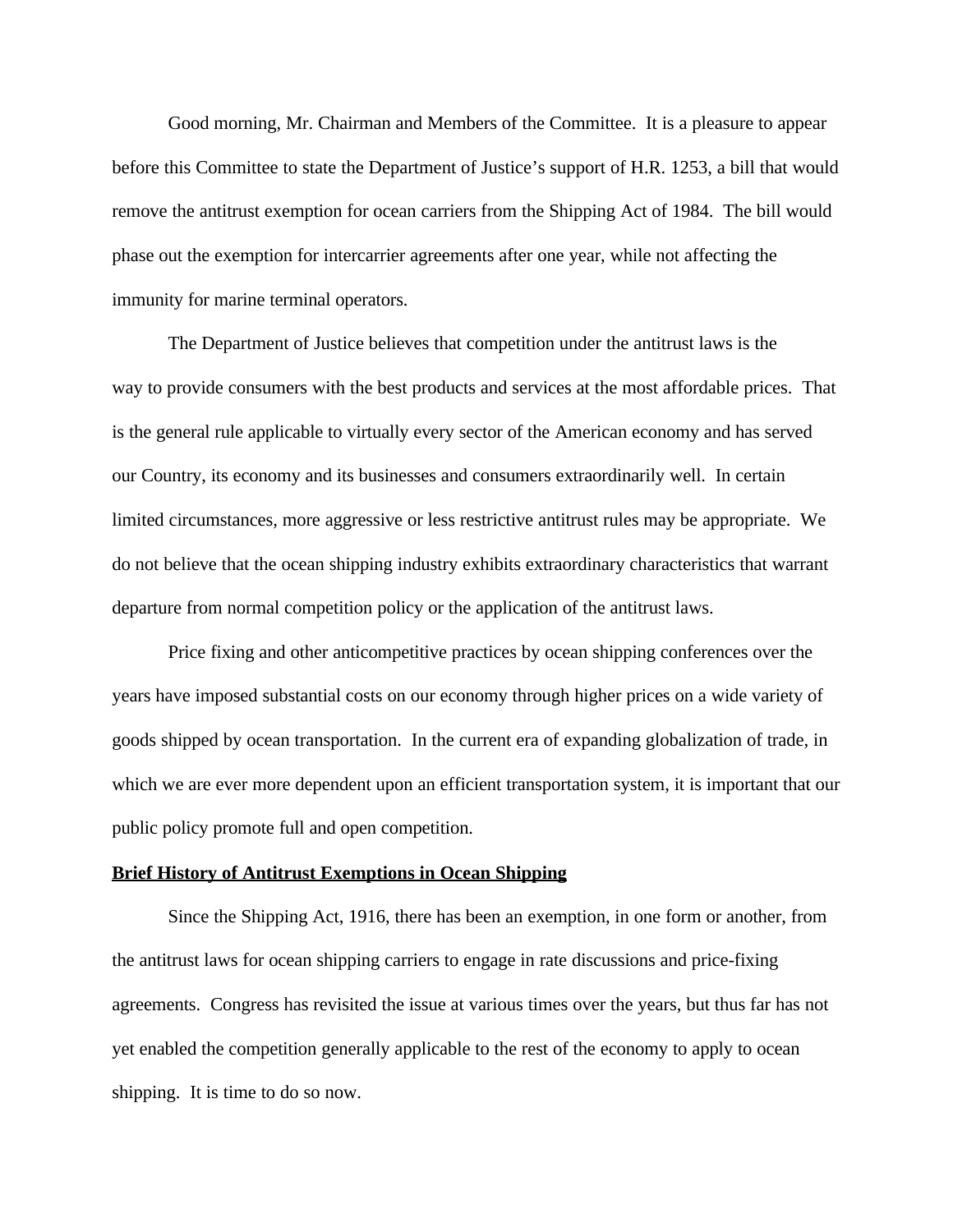Good morning, Mr. Chairman and Members of the Committee. It is a pleasure to appear before this Committee to state the Department of Justice's support of H.R. 1253, a bill that would remove the antitrust exemption for ocean carriers from the Shipping Act of 1984. The bill would phase out the exemption for intercarrier agreements after one year, while not affecting the immunity for marine terminal operators.

The Department of Justice believes that competition under the antitrust laws is the way to provide consumers with the best products and services at the most affordable prices. That is the general rule applicable to virtually every sector of the American economy and has served our Country, its economy and its businesses and consumers extraordinarily well. In certain limited circumstances, more aggressive or less restrictive antitrust rules may be appropriate. We do not believe that the ocean shipping industry exhibits extraordinary characteristics that warrant departure from normal competition policy or the application of the antitrust laws.

Price fixing and other anticompetitive practices by ocean shipping conferences over the years have imposed substantial costs on our economy through higher prices on a wide variety of goods shipped by ocean transportation. In the current era of expanding globalization of trade, in which we are ever more dependent upon an efficient transportation system, it is important that our public policy promote full and open competition.

#### **Brief History of Antitrust Exemptions in Ocean Shipping**

Since the Shipping Act, 1916, there has been an exemption, in one form or another, from the antitrust laws for ocean shipping carriers to engage in rate discussions and price-fixing agreements. Congress has revisited the issue at various times over the years, but thus far has not yet enabled the competition generally applicable to the rest of the economy to apply to ocean shipping. It is time to do so now.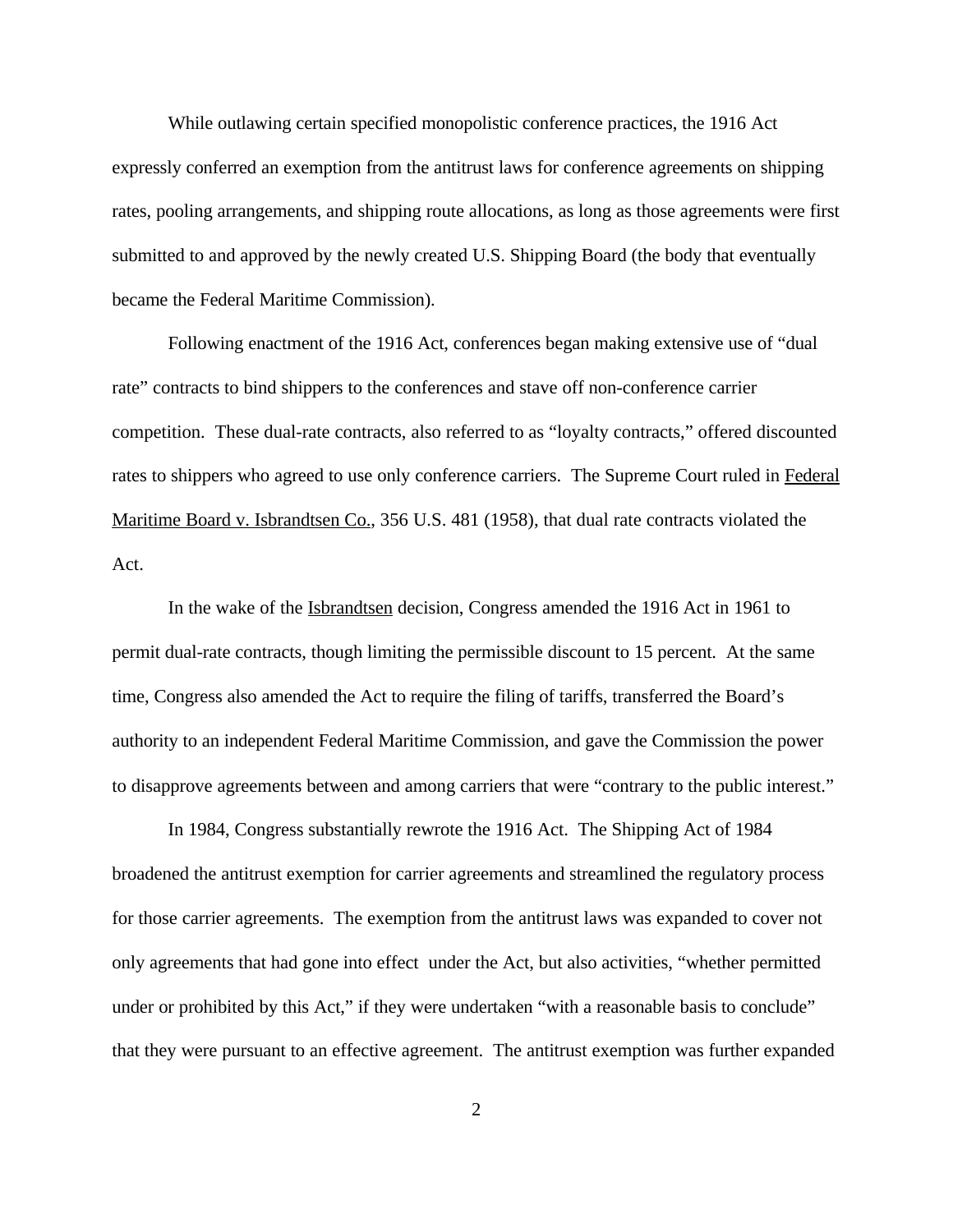While outlawing certain specified monopolistic conference practices, the 1916 Act expressly conferred an exemption from the antitrust laws for conference agreements on shipping rates, pooling arrangements, and shipping route allocations, as long as those agreements were first submitted to and approved by the newly created U.S. Shipping Board (the body that eventually became the Federal Maritime Commission).

Following enactment of the 1916 Act, conferences began making extensive use of "dual rate" contracts to bind shippers to the conferences and stave off non-conference carrier competition. These dual-rate contracts, also referred to as "loyalty contracts," offered discounted rates to shippers who agreed to use only conference carriers. The Supreme Court ruled in Federal Maritime Board v. Isbrandtsen Co., 356 U.S. 481 (1958), that dual rate contracts violated the Act.

In the wake of the Isbrandtsen decision, Congress amended the 1916 Act in 1961 to permit dual-rate contracts, though limiting the permissible discount to 15 percent. At the same time, Congress also amended the Act to require the filing of tariffs, transferred the Board's authority to an independent Federal Maritime Commission, and gave the Commission the power to disapprove agreements between and among carriers that were "contrary to the public interest."

In 1984, Congress substantially rewrote the 1916 Act. The Shipping Act of 1984 broadened the antitrust exemption for carrier agreements and streamlined the regulatory process for those carrier agreements. The exemption from the antitrust laws was expanded to cover not only agreements that had gone into effect under the Act, but also activities, "whether permitted under or prohibited by this Act," if they were undertaken "with a reasonable basis to conclude" that they were pursuant to an effective agreement. The antitrust exemption was further expanded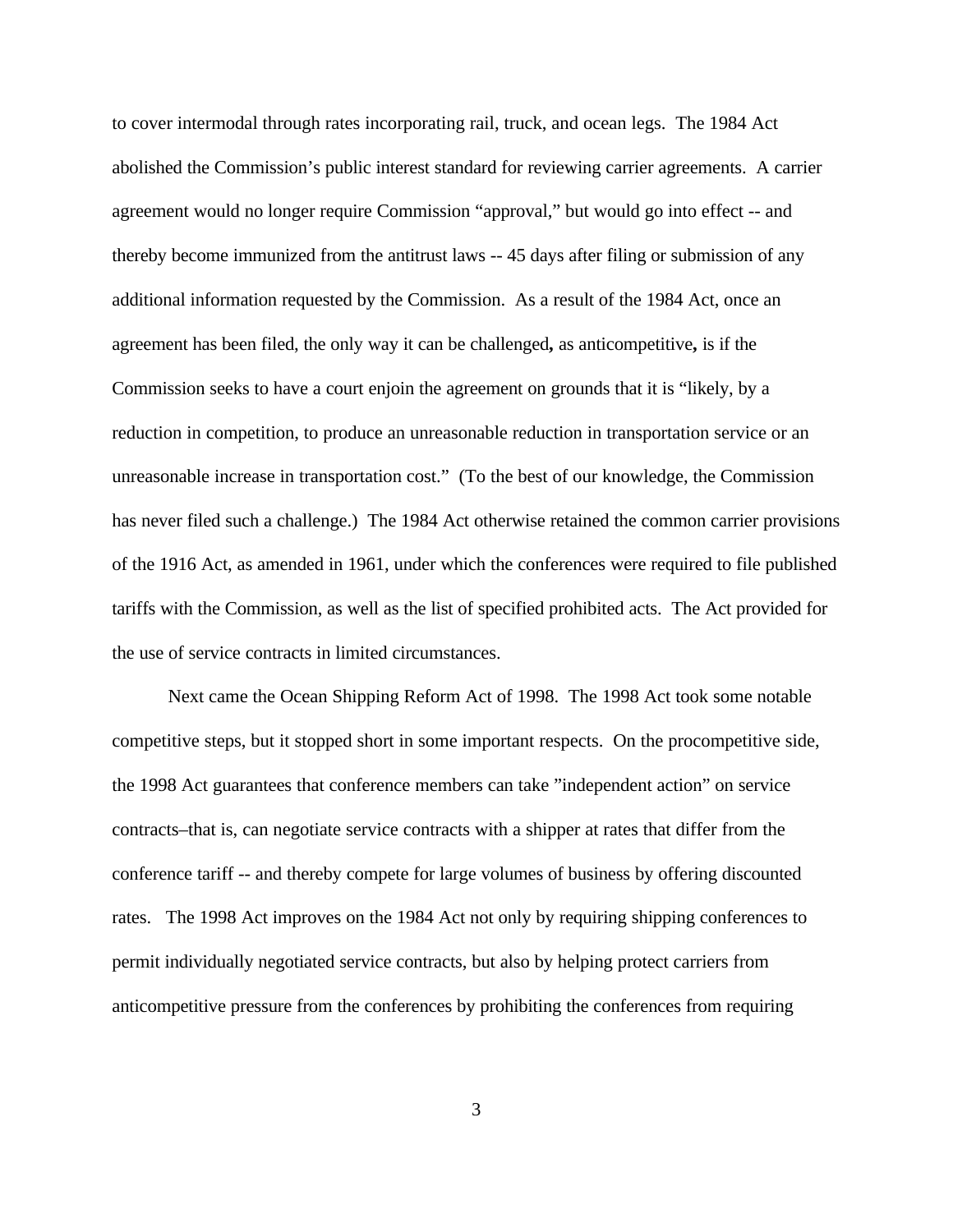to cover intermodal through rates incorporating rail, truck, and ocean legs. The 1984 Act abolished the Commission's public interest standard for reviewing carrier agreements. A carrier agreement would no longer require Commission "approval," but would go into effect -- and thereby become immunized from the antitrust laws -- 45 days after filing or submission of any additional information requested by the Commission. As a result of the 1984 Act, once an agreement has been filed, the only way it can be challenged**,** as anticompetitive**,** is if the Commission seeks to have a court enjoin the agreement on grounds that it is "likely, by a reduction in competition, to produce an unreasonable reduction in transportation service or an unreasonable increase in transportation cost." (To the best of our knowledge, the Commission has never filed such a challenge.) The 1984 Act otherwise retained the common carrier provisions of the 1916 Act, as amended in 1961, under which the conferences were required to file published tariffs with the Commission, as well as the list of specified prohibited acts. The Act provided for the use of service contracts in limited circumstances.

Next came the Ocean Shipping Reform Act of 1998. The 1998 Act took some notable competitive steps, but it stopped short in some important respects. On the procompetitive side, the 1998 Act guarantees that conference members can take "independent action" on service contracts–that is, can negotiate service contracts with a shipper at rates that differ from the conference tariff -- and thereby compete for large volumes of business by offering discounted rates. The 1998 Act improves on the 1984 Act not only by requiring shipping conferences to permit individually negotiated service contracts, but also by helping protect carriers from anticompetitive pressure from the conferences by prohibiting the conferences from requiring

3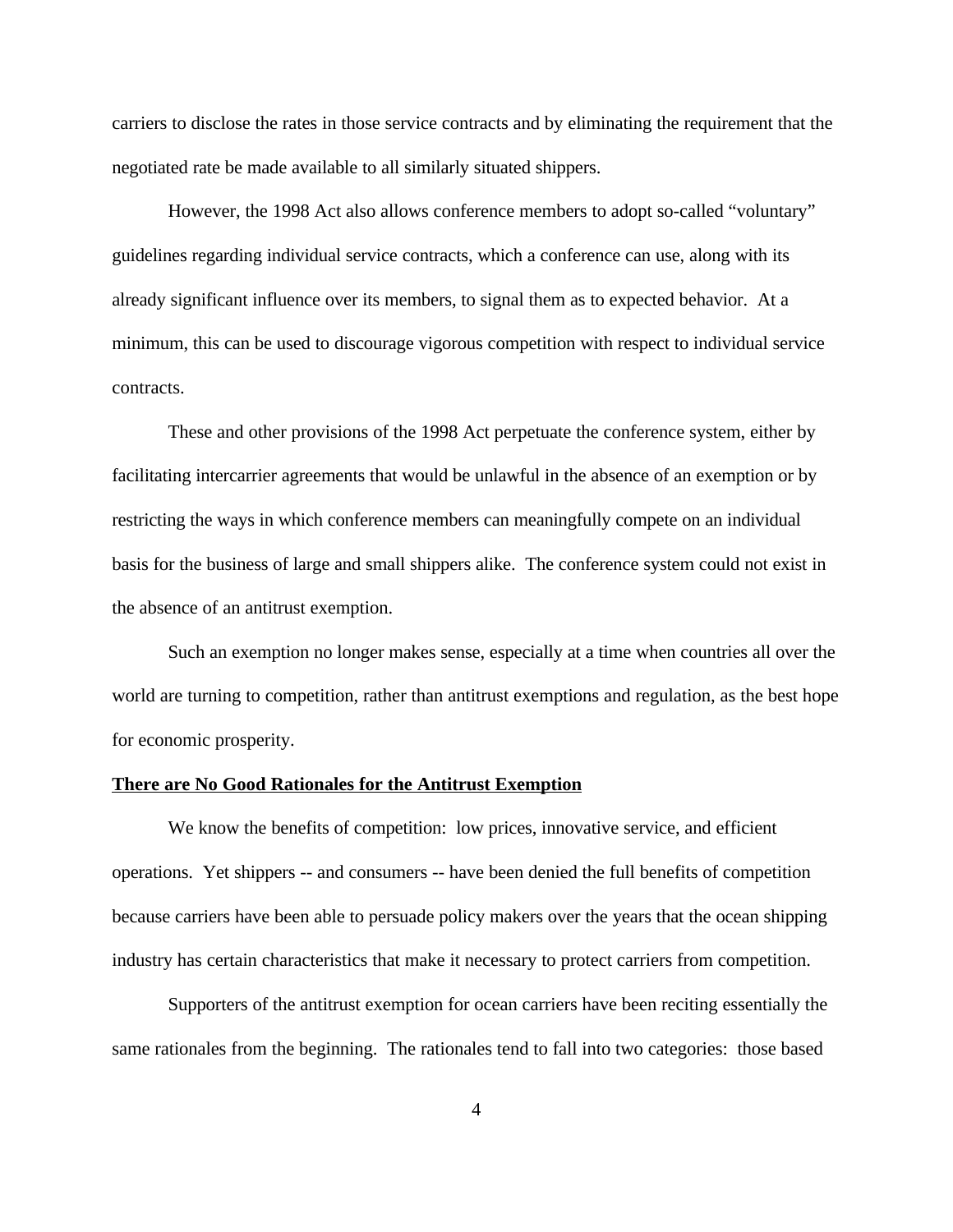carriers to disclose the rates in those service contracts and by eliminating the requirement that the negotiated rate be made available to all similarly situated shippers.

However, the 1998 Act also allows conference members to adopt so-called "voluntary" guidelines regarding individual service contracts, which a conference can use, along with its already significant influence over its members, to signal them as to expected behavior. At a minimum, this can be used to discourage vigorous competition with respect to individual service contracts.

These and other provisions of the 1998 Act perpetuate the conference system, either by facilitating intercarrier agreements that would be unlawful in the absence of an exemption or by restricting the ways in which conference members can meaningfully compete on an individual basis for the business of large and small shippers alike. The conference system could not exist in the absence of an antitrust exemption.

Such an exemption no longer makes sense, especially at a time when countries all over the world are turning to competition, rather than antitrust exemptions and regulation, as the best hope for economic prosperity.

#### **There are No Good Rationales for the Antitrust Exemption**

We know the benefits of competition: low prices, innovative service, and efficient operations. Yet shippers -- and consumers -- have been denied the full benefits of competition because carriers have been able to persuade policy makers over the years that the ocean shipping industry has certain characteristics that make it necessary to protect carriers from competition.

Supporters of the antitrust exemption for ocean carriers have been reciting essentially the same rationales from the beginning. The rationales tend to fall into two categories: those based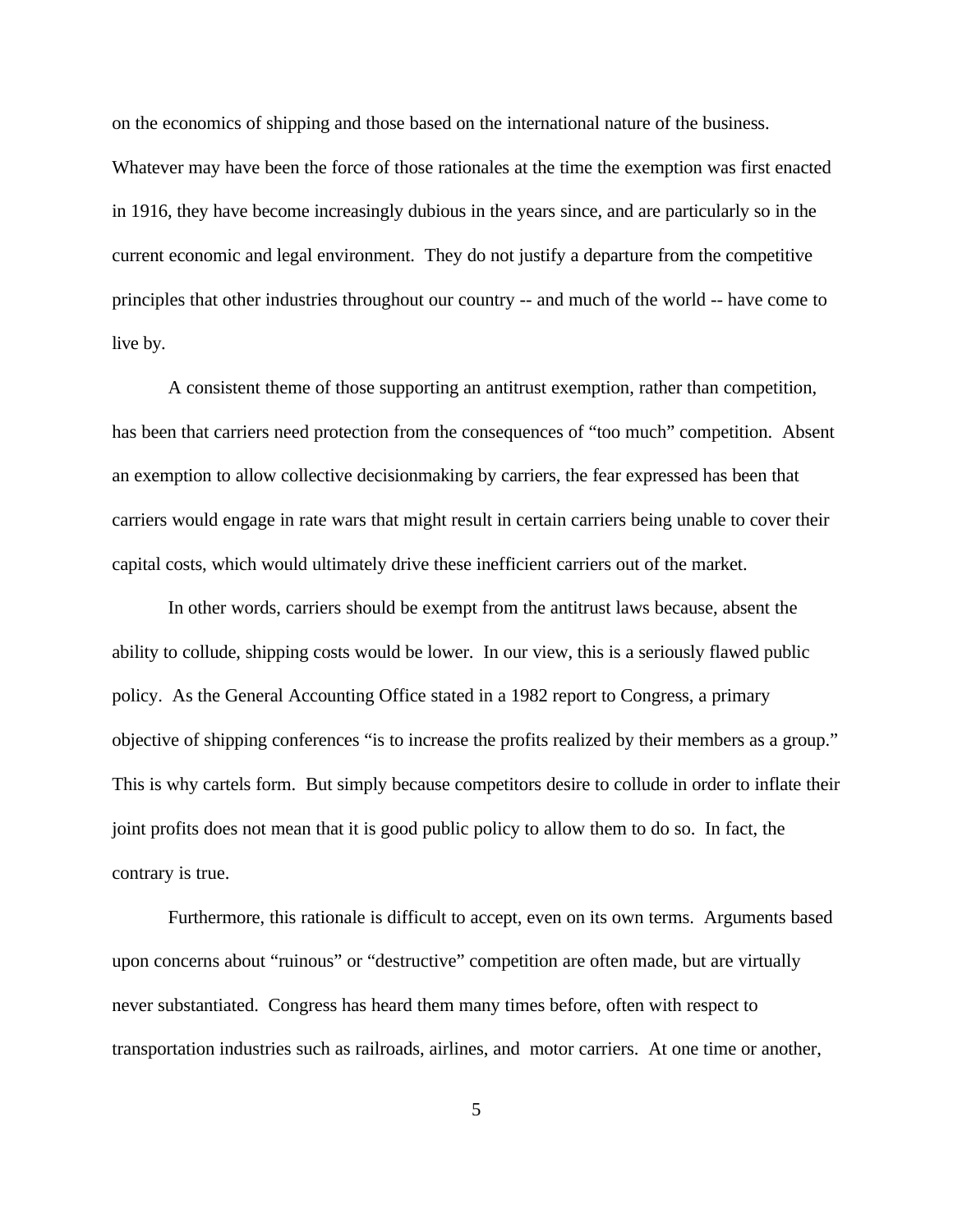on the economics of shipping and those based on the international nature of the business. Whatever may have been the force of those rationales at the time the exemption was first enacted in 1916, they have become increasingly dubious in the years since, and are particularly so in the current economic and legal environment. They do not justify a departure from the competitive principles that other industries throughout our country -- and much of the world -- have come to live by.

A consistent theme of those supporting an antitrust exemption, rather than competition, has been that carriers need protection from the consequences of "too much" competition. Absent an exemption to allow collective decisionmaking by carriers, the fear expressed has been that carriers would engage in rate wars that might result in certain carriers being unable to cover their capital costs, which would ultimately drive these inefficient carriers out of the market.

In other words, carriers should be exempt from the antitrust laws because, absent the ability to collude, shipping costs would be lower. In our view, this is a seriously flawed public policy. As the General Accounting Office stated in a 1982 report to Congress, a primary objective of shipping conferences "is to increase the profits realized by their members as a group." This is why cartels form. But simply because competitors desire to collude in order to inflate their joint profits does not mean that it is good public policy to allow them to do so. In fact, the contrary is true.

Furthermore, this rationale is difficult to accept, even on its own terms. Arguments based upon concerns about "ruinous" or "destructive" competition are often made, but are virtually never substantiated. Congress has heard them many times before, often with respect to transportation industries such as railroads, airlines, and motor carriers. At one time or another,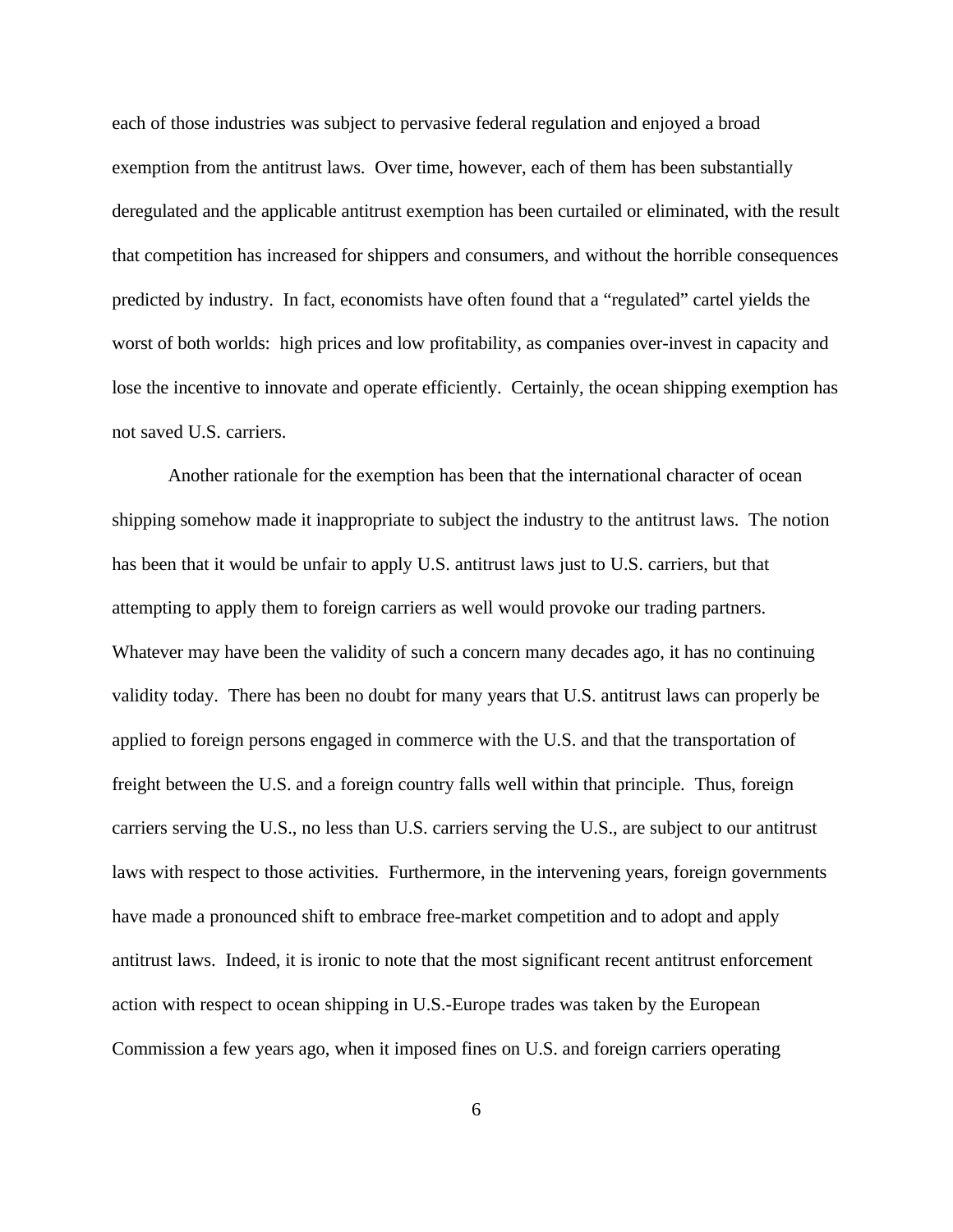each of those industries was subject to pervasive federal regulation and enjoyed a broad exemption from the antitrust laws. Over time, however, each of them has been substantially deregulated and the applicable antitrust exemption has been curtailed or eliminated, with the result that competition has increased for shippers and consumers, and without the horrible consequences predicted by industry. In fact, economists have often found that a "regulated" cartel yields the worst of both worlds: high prices and low profitability, as companies over-invest in capacity and lose the incentive to innovate and operate efficiently. Certainly, the ocean shipping exemption has not saved U.S. carriers.

Another rationale for the exemption has been that the international character of ocean shipping somehow made it inappropriate to subject the industry to the antitrust laws. The notion has been that it would be unfair to apply U.S. antitrust laws just to U.S. carriers, but that attempting to apply them to foreign carriers as well would provoke our trading partners. Whatever may have been the validity of such a concern many decades ago, it has no continuing validity today. There has been no doubt for many years that U.S. antitrust laws can properly be applied to foreign persons engaged in commerce with the U.S. and that the transportation of freight between the U.S. and a foreign country falls well within that principle. Thus, foreign carriers serving the U.S., no less than U.S. carriers serving the U.S., are subject to our antitrust laws with respect to those activities. Furthermore, in the intervening years, foreign governments have made a pronounced shift to embrace free-market competition and to adopt and apply antitrust laws. Indeed, it is ironic to note that the most significant recent antitrust enforcement action with respect to ocean shipping in U.S.-Europe trades was taken by the European Commission a few years ago, when it imposed fines on U.S. and foreign carriers operating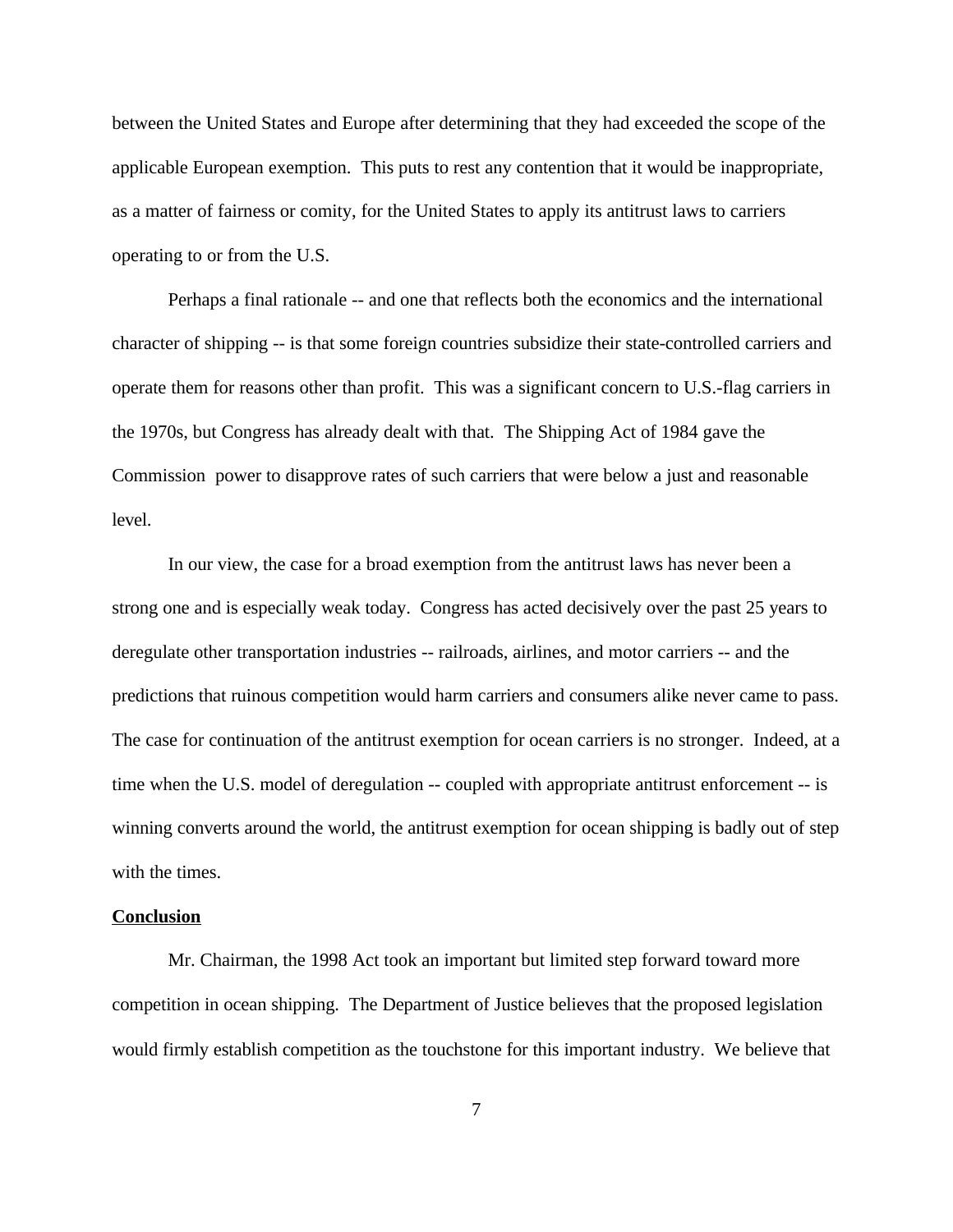between the United States and Europe after determining that they had exceeded the scope of the applicable European exemption. This puts to rest any contention that it would be inappropriate, as a matter of fairness or comity, for the United States to apply its antitrust laws to carriers operating to or from the U.S.

Perhaps a final rationale -- and one that reflects both the economics and the international character of shipping -- is that some foreign countries subsidize their state-controlled carriers and operate them for reasons other than profit. This was a significant concern to U.S.-flag carriers in the 1970s, but Congress has already dealt with that. The Shipping Act of 1984 gave the Commission power to disapprove rates of such carriers that were below a just and reasonable level.

In our view, the case for a broad exemption from the antitrust laws has never been a strong one and is especially weak today. Congress has acted decisively over the past 25 years to deregulate other transportation industries -- railroads, airlines, and motor carriers -- and the predictions that ruinous competition would harm carriers and consumers alike never came to pass. The case for continuation of the antitrust exemption for ocean carriers is no stronger. Indeed, at a time when the U.S. model of deregulation -- coupled with appropriate antitrust enforcement -- is winning converts around the world, the antitrust exemption for ocean shipping is badly out of step with the times.

#### **Conclusion**

Mr. Chairman, the 1998 Act took an important but limited step forward toward more competition in ocean shipping. The Department of Justice believes that the proposed legislation would firmly establish competition as the touchstone for this important industry. We believe that